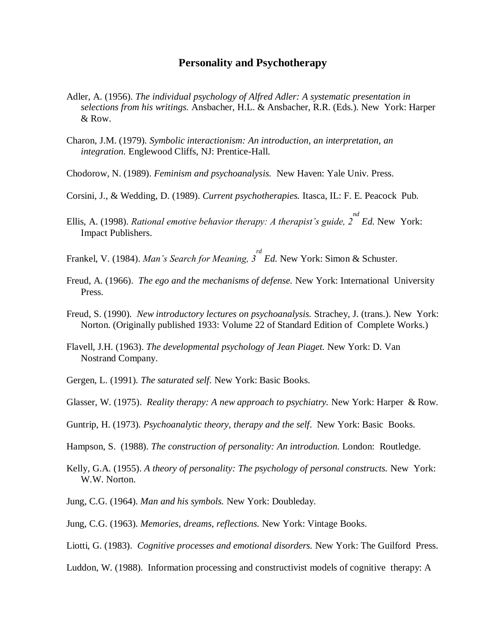## **Personality and Psychotherapy**

- Adler, A. (1956). *The individual psychology of Alfred Adler: A systematic presentation in selections from his writings.* Ansbacher, H.L. & Ansbacher, R.R. (Eds.). New York: Harper & Row.
- Charon, J.M. (1979). *Symbolic interactionism: An introduction, an interpretation, an integration.* Englewood Cliffs, NJ: Prentice-Hall.
- Chodorow, N. (1989). *Feminism and psychoanalysis.* New Haven: Yale Univ. Press.
- Corsini, J., & Wedding, D. (1989). *Current psychotherapies.* Itasca, IL: F. E. Peacock Pub.
- Ellis, A. (1998). *Rational emotive behavior therapy: A therapist's guide, 2 nd Ed.* New York: Impact Publishers.
- Frankel, V. (1984). *Man's Search for Meaning, 3 rd Ed.* New York: Simon & Schuster.
- Freud, A. (1966). *The ego and the mechanisms of defense.* New York: International University Press.
- Freud, S. (1990). *New introductory lectures on psychoanalysis.* Strachey, J. (trans.). New York: Norton. (Originally published 1933: Volume 22 of Standard Edition of Complete Works.)
- Flavell, J.H. (1963). *The developmental psychology of Jean Piaget.* New York: D. Van Nostrand Company.
- Gergen, L. (1991). *The saturated self.* New York: Basic Books.
- Glasser, W. (1975). *Reality therapy: A new approach to psychiatry.* New York: Harper & Row.
- Guntrip, H. (1973). *Psychoanalytic theory, therapy and the self*. New York: Basic Books.
- Hampson, S. (1988). *The construction of personality: An introduction.* London: Routledge.
- Kelly, G.A. (1955). *A theory of personality: The psychology of personal constructs.* New York: W.W. Norton.
- Jung, C.G. (1964). *Man and his symbols.* New York: Doubleday.
- Jung, C.G. (1963). *Memories, dreams, reflections.* New York: Vintage Books.
- Liotti, G. (1983). *Cognitive processes and emotional disorders.* New York: The Guilford Press.
- Luddon, W. (1988). Information processing and constructivist models of cognitive therapy: A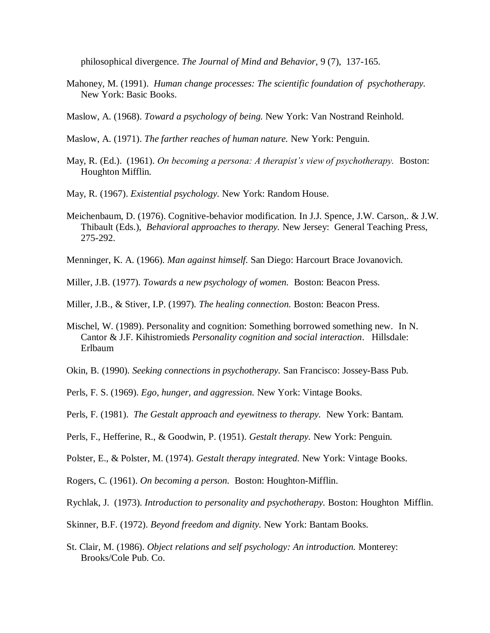philosophical divergence. *The Journal of Mind and Behavior*, 9 (7), 137-165.

- Mahoney, M. (1991). *Human change processes: The scientific foundation of psychotherapy.*  New York: Basic Books.
- Maslow, A. (1968). *Toward a psychology of being.* New York: Van Nostrand Reinhold.
- Maslow, A. (1971). *The farther reaches of human nature.* New York: Penguin.
- May, R. (Ed.). (1961). *On becoming a persona: A therapist's view of psychotherapy.* Boston: Houghton Mifflin.
- May, R. (1967). *Existential psychology.* New York: Random House.
- Meichenbaum, D. (1976). Cognitive-behavior modification*.* In J.J. Spence, J.W. Carson,. & J.W. Thibault (Eds.), *Behavioral approaches to therapy.* New Jersey: General Teaching Press, 275-292.
- Menninger, K. A. (1966). *Man against himself.* San Diego: Harcourt Brace Jovanovich.
- Miller, J.B. (1977). *Towards a new psychology of women.* Boston: Beacon Press.
- Miller, J.B., & Stiver, I.P. (1997). *The healing connection.* Boston: Beacon Press.
- Mischel, W. (1989). Personality and cognition: Something borrowed something new.In N. Cantor & J.F. Kihistromieds *Personality cognition and social interaction*. Hillsdale: Erlbaum
- Okin, B. (1990). *Seeking connections in psychotherapy.* San Francisco: Jossey-Bass Pub.
- Perls, F. S. (1969). *Ego, hunger, and aggression.* New York: Vintage Books.
- Perls, F. (1981). *The Gestalt approach and eyewitness to therapy.* New York: Bantam.
- Perls, F., Hefferine, R., & Goodwin, P. (1951). *Gestalt therapy.* New York: Penguin.
- Polster, E., & Polster, M. (1974). *Gestalt therapy integrated.* New York: Vintage Books.
- Rogers, C. (1961). *On becoming a person.* Boston: Houghton-Mifflin.
- Rychlak, J. (1973). *Introduction to personality and psychotherapy.* Boston: Houghton Mifflin.
- Skinner, B.F. (1972). *Beyond freedom and dignity.* New York: Bantam Books.
- St. Clair, M. (1986). *Object relations and self psychology: An introduction.* Monterey: Brooks/Cole Pub. Co.